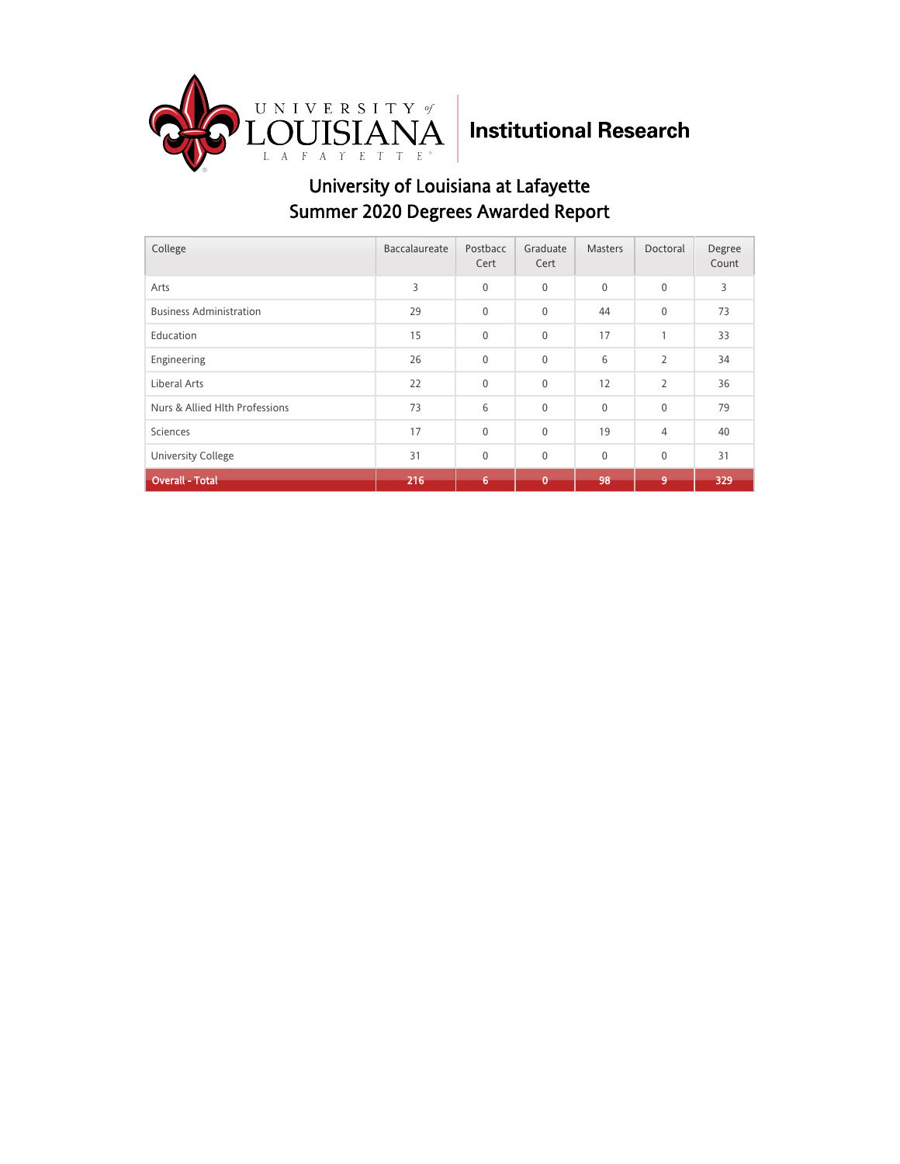

| College                        | Baccalaureate | Postbacc<br>Cert | Graduate<br>Cert | <b>Masters</b> | Doctoral       | Degree<br>Count |
|--------------------------------|---------------|------------------|------------------|----------------|----------------|-----------------|
| Arts                           | 3             | $\mathbf{0}$     | $\mathbf 0$      | $\mathbf{0}$   | $\mathbf 0$    | 3               |
| <b>Business Administration</b> | 29            | $\mathbf{0}$     | 0                | 44             | $\mathbf 0$    | 73              |
| Education                      | 15            | $\mathbf{0}$     | $\mathbf{0}$     | 17             | 1              | 33              |
| Engineering                    | 26            | $\Omega$         | 0                | 6              | $\overline{2}$ | 34              |
| Liberal Arts                   | 22            | $\mathbf{0}$     | $\mathbf{0}$     | 12             | $\overline{2}$ | 36              |
| Nurs & Allied Hlth Professions | 73            | 6                | 0                | $\mathbf 0$    | $\mathbf 0$    | 79              |
| Sciences                       | 17            | $\mathbf{0}$     | $\mathbf{0}$     | 19             | 4              | 40              |
| <b>University College</b>      | 31            | $\mathbf{0}$     | 0                | $\mathbf{0}$   | $\mathbf 0$    | 31              |
| <b>Overall - Total</b>         | 216           | 6                | 0                | 98             | 9              | 329             |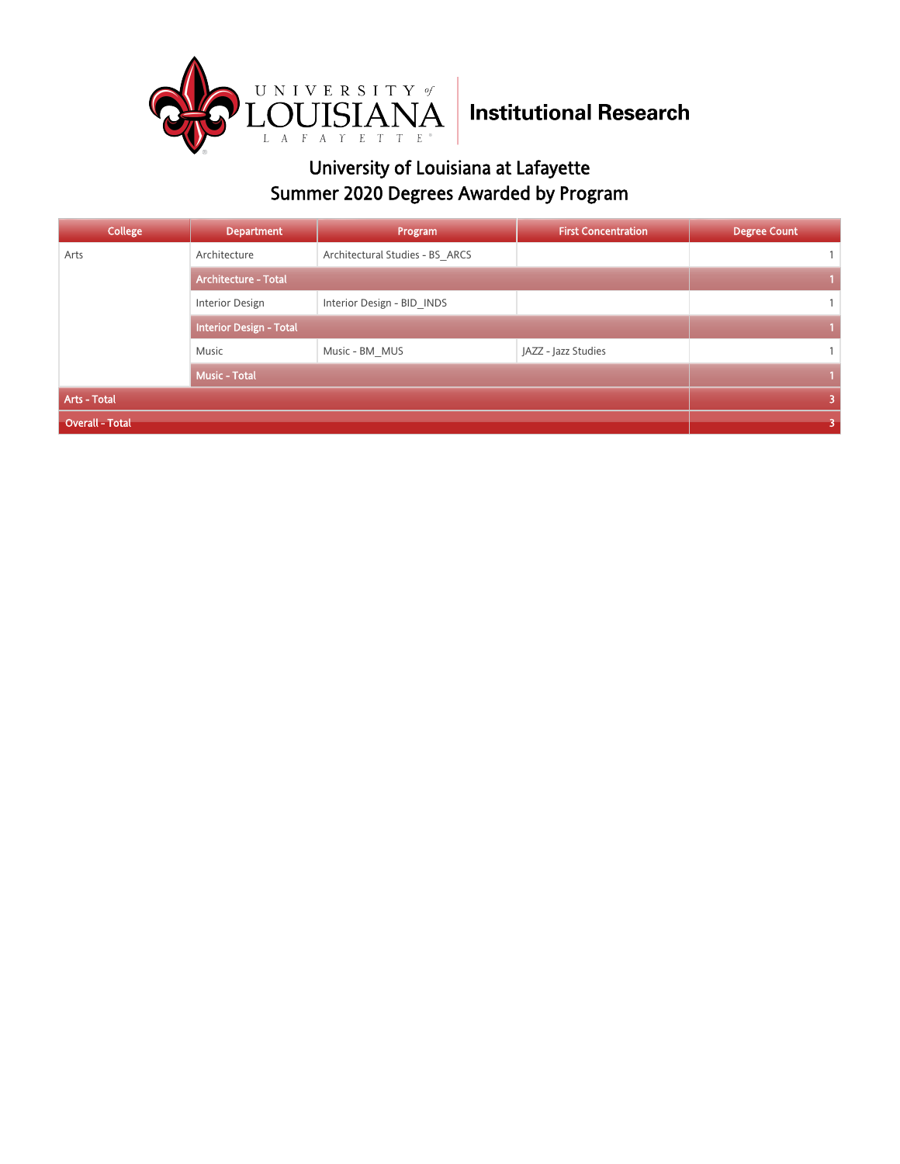

| <b>College</b>         | <b>Department</b>              | Program                         | <b>First Concentration</b> | <b>Degree Count</b> |
|------------------------|--------------------------------|---------------------------------|----------------------------|---------------------|
| Arts                   | Architecture                   | Architectural Studies - BS ARCS |                            |                     |
|                        | <b>Architecture - Total</b>    |                                 |                            |                     |
|                        | Interior Design                | Interior Design - BID INDS      |                            |                     |
|                        | <b>Interior Design - Total</b> |                                 |                            |                     |
|                        | Music                          | Music - BM MUS                  | JAZZ - Jazz Studies        |                     |
|                        | <b>Music - Total</b>           |                                 |                            |                     |
| Arts - Total           |                                |                                 |                            | 3                   |
| <b>Overall - Total</b> |                                |                                 |                            |                     |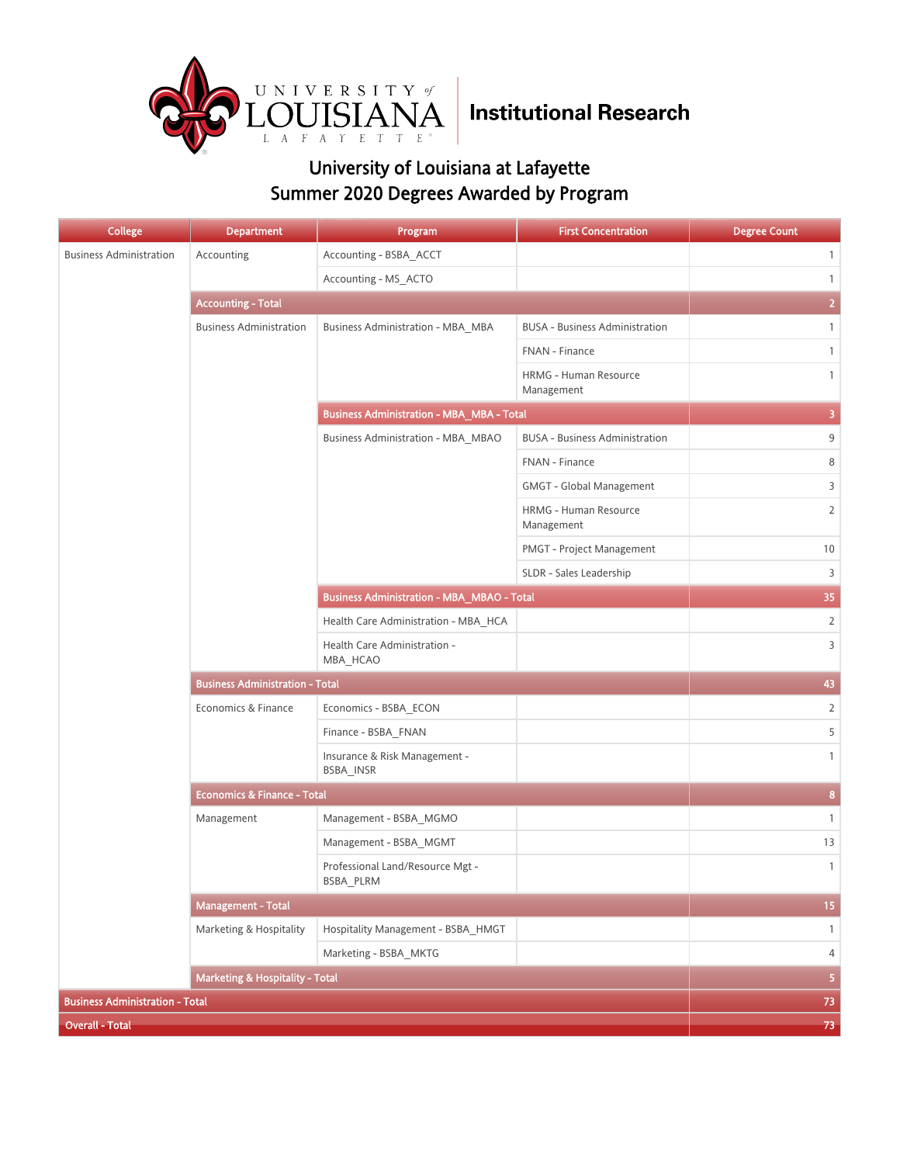

| <b>College</b>                         | <b>Department</b>                          | Program                                           | <b>First Concentration</b>            | <b>Degree Count</b>     |
|----------------------------------------|--------------------------------------------|---------------------------------------------------|---------------------------------------|-------------------------|
| <b>Business Administration</b>         | Accounting                                 | Accounting - BSBA_ACCT                            |                                       | $\mathbf{1}$            |
|                                        |                                            | Accounting - MS ACTO                              |                                       | $\mathbf{1}$            |
|                                        | <b>Accounting - Total</b>                  |                                                   |                                       | $\overline{2}$          |
|                                        | <b>Business Administration</b>             | Business Administration - MBA MBA                 | <b>BUSA - Business Administration</b> | $\mathbf{1}$            |
|                                        |                                            |                                                   | FNAN - Finance                        | $\mathbf{1}$            |
|                                        |                                            |                                                   | HRMG - Human Resource<br>Management   | $\mathbf{1}$            |
|                                        |                                            | <b>Business Administration - MBA_MBA - Total</b>  |                                       | $\overline{\mathbf{3}}$ |
|                                        |                                            | Business Administration - MBA MBAO                | <b>BUSA - Business Administration</b> | 9                       |
|                                        |                                            |                                                   | FNAN - Finance                        | 8                       |
|                                        |                                            |                                                   | GMGT - Global Management              | 3                       |
|                                        |                                            |                                                   | HRMG - Human Resource<br>Management   | $\overline{2}$          |
|                                        |                                            |                                                   | PMGT - Project Management             | 10                      |
|                                        |                                            |                                                   | SLDR - Sales Leadership               | 3                       |
|                                        |                                            | <b>Business Administration - MBA_MBAO - Total</b> |                                       | 35                      |
|                                        |                                            | Health Care Administration - MBA HCA              |                                       | 2                       |
|                                        |                                            | Health Care Administration -<br>MBA_HCAO          |                                       | 3                       |
|                                        | <b>Business Administration - Total</b>     | 43                                                |                                       |                         |
|                                        | Economics & Finance                        | Economics - BSBA_ECON                             |                                       | $\overline{2}$          |
|                                        |                                            | Finance - BSBA FNAN                               |                                       | 5                       |
|                                        |                                            | Insurance & Risk Management -<br>BSBA_INSR        |                                       | $\mathbf{1}$            |
|                                        | <b>Economics &amp; Finance - Total</b>     |                                                   |                                       | 8                       |
|                                        | Management                                 | Management - BSBA_MGMO                            |                                       | $\mathbf{1}$            |
|                                        |                                            | Management - BSBA_MGMT                            |                                       | 13                      |
|                                        |                                            | Professional Land/Resource Mgt -<br>BSBA_PLRM     |                                       | $\mathbf{1}$            |
|                                        | <b>Management - Total</b>                  |                                                   |                                       | 15                      |
|                                        | Marketing & Hospitality                    | Hospitality Management - BSBA_HMGT                |                                       | $\mathbf{1}$            |
|                                        |                                            | Marketing - BSBA MKTG                             |                                       | $\overline{4}$          |
|                                        | <b>Marketing &amp; Hospitality - Total</b> |                                                   |                                       | $\overline{\mathbf{5}}$ |
| <b>Business Administration - Total</b> | $73$                                       |                                                   |                                       |                         |
| <b>Overall - Total</b>                 | 73                                         |                                                   |                                       |                         |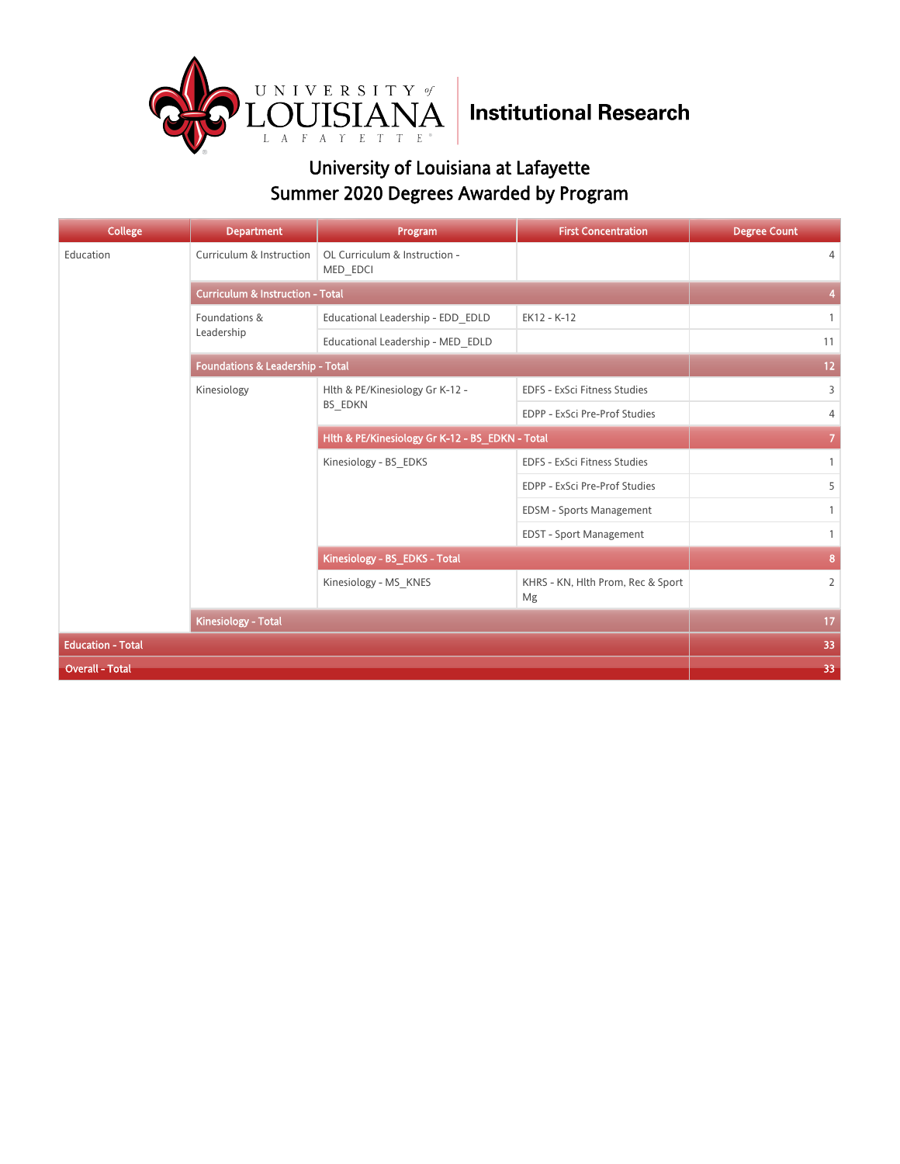

| <b>College</b>           | <b>Department</b>                           | Program                                         | <b>First Concentration</b>              | <b>Degree Count</b> |
|--------------------------|---------------------------------------------|-------------------------------------------------|-----------------------------------------|---------------------|
| Education                | Curriculum & Instruction                    | OL Curriculum & Instruction -<br>MED EDCI       |                                         | 4                   |
|                          | <b>Curriculum &amp; Instruction - Total</b> |                                                 |                                         | 4                   |
|                          | Foundations &                               | Educational Leadership - EDD EDLD               | EK12 - K-12                             | $\mathbf{1}$        |
|                          | Leadership                                  | Educational Leadership - MED EDLD               |                                         | 11                  |
|                          | Foundations & Leadership - Total            | 12                                              |                                         |                     |
|                          | Kinesiology                                 | Hlth & PE/Kinesiology Gr K-12 -                 | EDFS - ExSci Fitness Studies            | $\overline{3}$      |
|                          |                                             | <b>BS EDKN</b>                                  | EDPP - ExSci Pre-Prof Studies           | $\overline{4}$      |
|                          |                                             | Hlth & PE/Kinesiology Gr K-12 - BS EDKN - Total |                                         | $\overline{7}$      |
|                          |                                             | Kinesiology - BS EDKS                           | EDFS - ExSci Fitness Studies            | $\mathbf{1}$        |
|                          |                                             |                                                 | EDPP - ExSci Pre-Prof Studies           | 5                   |
|                          |                                             |                                                 | <b>EDSM</b> - Sports Management         | $\mathbf{1}$        |
|                          |                                             |                                                 | EDST - Sport Management                 | $\mathbf{1}$        |
|                          |                                             | Kinesiology - BS_EDKS - Total                   |                                         | 8                   |
|                          |                                             | Kinesiology - MS KNES                           | KHRS - KN, Hlth Prom, Rec & Sport<br>Mg | $\overline{2}$      |
|                          | Kinesiology - Total                         |                                                 |                                         | 17                  |
| <b>Education - Total</b> |                                             |                                                 |                                         | 33                  |
| <b>Overall - Total</b>   |                                             |                                                 |                                         | 33                  |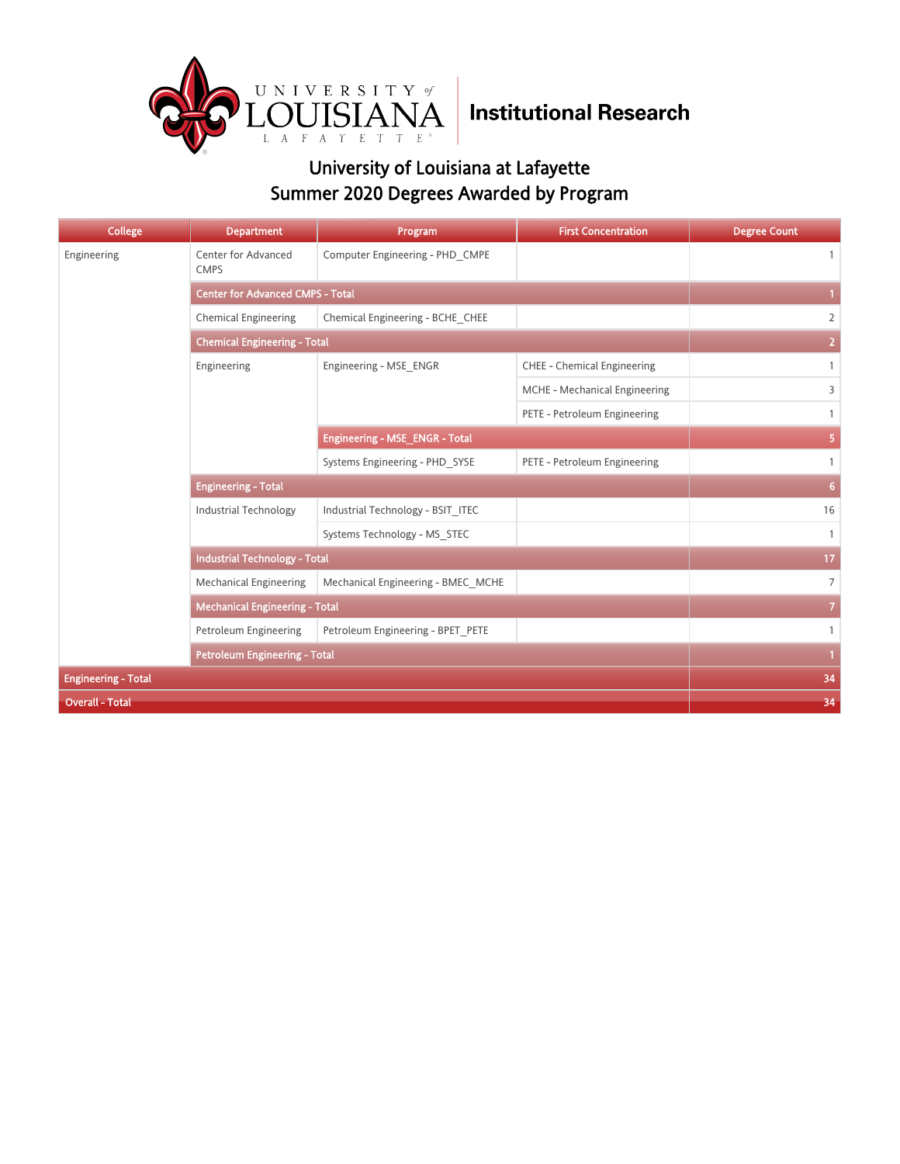

| <b>College</b>             | <b>Department</b>                         | Program                            | <b>First Concentration</b>    | <b>Degree Count</b> |
|----------------------------|-------------------------------------------|------------------------------------|-------------------------------|---------------------|
| Engineering                | <b>Center for Advanced</b><br><b>CMPS</b> | Computer Engineering - PHD CMPE    |                               | $\mathbf{1}$        |
|                            | <b>Center for Advanced CMPS - Total</b>   |                                    |                               | 1                   |
|                            | <b>Chemical Engineering</b>               | Chemical Engineering - BCHE CHEE   |                               | $\overline{2}$      |
|                            | <b>Chemical Engineering - Total</b>       | $\overline{2}$                     |                               |                     |
|                            | Engineering                               | Engineering - MSE ENGR             | CHEE - Chemical Engineering   | $\mathbf{1}$        |
|                            |                                           |                                    | MCHE - Mechanical Engineering | 3                   |
|                            |                                           |                                    | PETE - Petroleum Engineering  | $\mathbf{1}$        |
|                            |                                           | Engineering - MSE_ENGR - Total     |                               | 5                   |
|                            |                                           | Systems Engineering - PHD SYSE     | PETE - Petroleum Engineering  | $\mathbf{1}$        |
|                            | <b>Engineering - Total</b>                |                                    |                               | 6 <sup>1</sup>      |
|                            | <b>Industrial Technology</b>              | Industrial Technology - BSIT ITEC  |                               | 16                  |
|                            |                                           | Systems Technology - MS STEC       |                               | $\mathbf{1}$        |
|                            | <b>Industrial Technology - Total</b>      |                                    |                               | 17                  |
|                            | <b>Mechanical Engineering</b>             | Mechanical Engineering - BMEC MCHE |                               | $\overline{7}$      |
|                            | <b>Mechanical Engineering - Total</b>     |                                    |                               | $\overline{7}$      |
|                            | Petroleum Engineering                     | Petroleum Engineering - BPET PETE  |                               | $\mathbf{1}$        |
|                            | <b>Petroleum Engineering - Total</b>      |                                    |                               | $\mathbf{1}$        |
| <b>Engineering - Total</b> |                                           |                                    |                               | 34                  |
| <b>Overall - Total</b>     | 34                                        |                                    |                               |                     |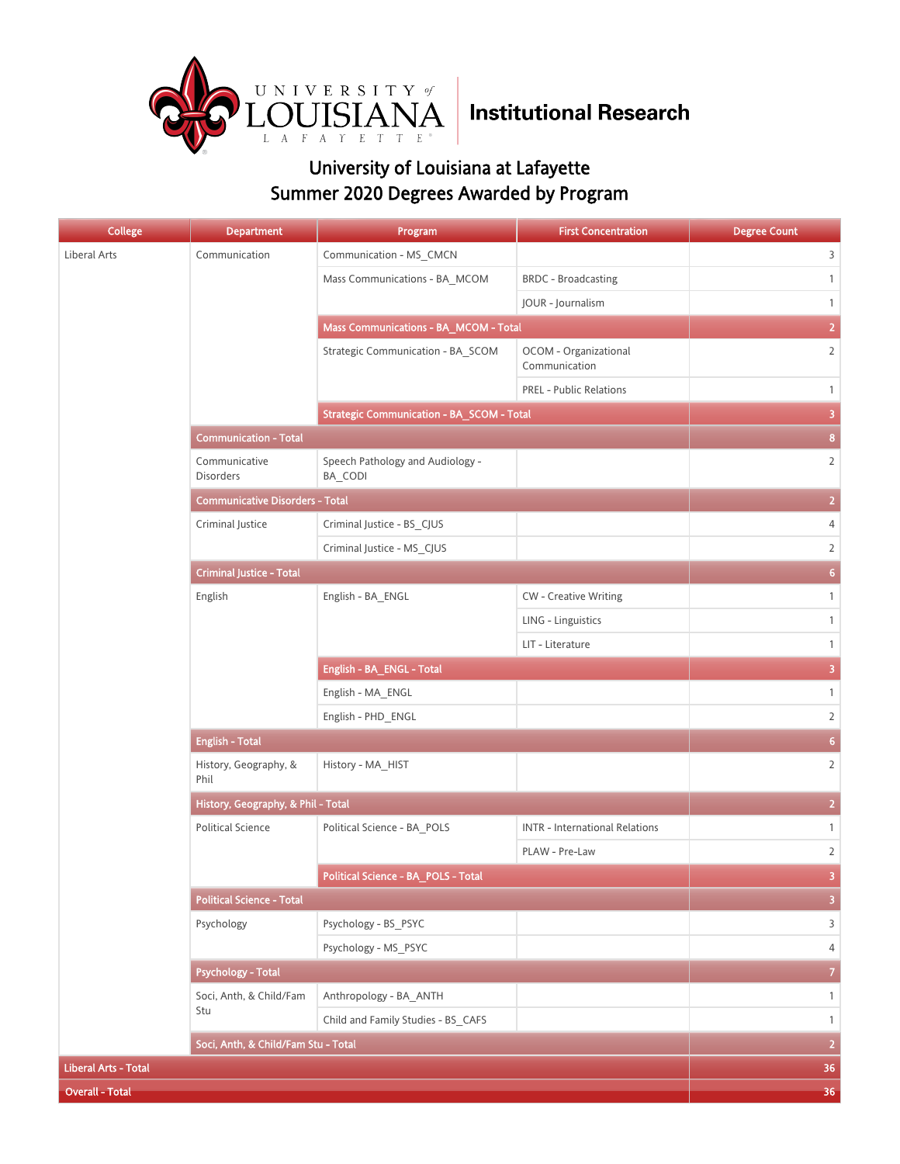

| <b>College</b>         | <b>Department</b>                      | Program                                     | <b>First Concentration</b>             | <b>Degree Count</b> |
|------------------------|----------------------------------------|---------------------------------------------|----------------------------------------|---------------------|
| Liberal Arts           | Communication                          | Communication - MS_CMCN                     |                                        | $\mathsf{3}$        |
|                        |                                        | Mass Communications - BA_MCOM               | <b>BRDC</b> - Broadcasting             | $\mathbf{1}$        |
|                        |                                        |                                             | JOUR - Journalism                      | $\mathbf{1}$        |
|                        |                                        | Mass Communications - BA_MCOM - Total       |                                        | $\overline{2}$      |
|                        |                                        | Strategic Communication - BA_SCOM           | OCOM - Organizational<br>Communication | $\overline{2}$      |
|                        |                                        |                                             | <b>PREL - Public Relations</b>         | $\mathbf{1}$        |
|                        |                                        | Strategic Communication - BA_SCOM - Total   |                                        | 3                   |
|                        | <b>Communication - Total</b>           |                                             |                                        | $\boldsymbol{8}$    |
|                        | Communicative<br>Disorders             | Speech Pathology and Audiology -<br>BA CODI |                                        | $\overline{2}$      |
|                        | <b>Communicative Disorders - Total</b> |                                             |                                        | $\overline{2}$      |
|                        | Criminal Justice                       | Criminal Justice - BS_CJUS                  |                                        | 4                   |
|                        |                                        | Criminal Justice - MS_CJUS                  |                                        | $\overline{2}$      |
|                        | <b>Criminal Justice - Total</b>        |                                             |                                        | $6\phantom{1}$      |
|                        | English                                | English - BA_ENGL                           | <b>CW</b> - Creative Writing           | $\mathbf{1}$        |
|                        |                                        |                                             | LING - Linguistics                     | $\mathbf{1}$        |
|                        |                                        |                                             | LIT - Literature                       | $\mathbf{1}$        |
|                        |                                        | English - BA_ENGL - Total                   |                                        | 3                   |
|                        |                                        | English - MA_ENGL                           |                                        | $\mathbf{1}$        |
|                        |                                        | English - PHD_ENGL                          |                                        | $\overline{2}$      |
|                        | <b>English - Total</b>                 |                                             |                                        | $\boldsymbol{6}$    |
|                        | History, Geography, &<br>Phil          | History - MA_HIST                           |                                        | $\overline{2}$      |
|                        | History, Geography, & Phil - Total     |                                             |                                        | $\overline{2}$      |
|                        | <b>Political Science</b>               | Political Science - BA_POLS                 | <b>INTR - International Relations</b>  | $\mathbf{1}$        |
|                        |                                        |                                             | PLAW - Pre-Law                         | $\overline{2}$      |
|                        |                                        | Political Science - BA_POLS - Total         |                                        | 3                   |
|                        | <b>Political Science - Total</b>       |                                             |                                        | 3                   |
|                        | Psychology                             | Psychology - BS_PSYC                        |                                        | $\mathsf{3}$        |
|                        |                                        | Psychology - MS_PSYC                        |                                        | $\overline{4}$      |
|                        | <b>Psychology - Total</b>              |                                             |                                        | $\boldsymbol{7}$    |
|                        | Soci, Anth, & Child/Fam                | Anthropology - BA_ANTH                      |                                        | $\mathbf{1}$        |
|                        | Stu                                    | Child and Family Studies - BS_CAFS          |                                        | $\mathbf{1}$        |
|                        | Soci, Anth, & Child/Fam Stu - Total    |                                             |                                        | $\overline{2}$      |
| Liberal Arts - Total   | 36                                     |                                             |                                        |                     |
| <b>Overall - Total</b> |                                        |                                             |                                        | 36                  |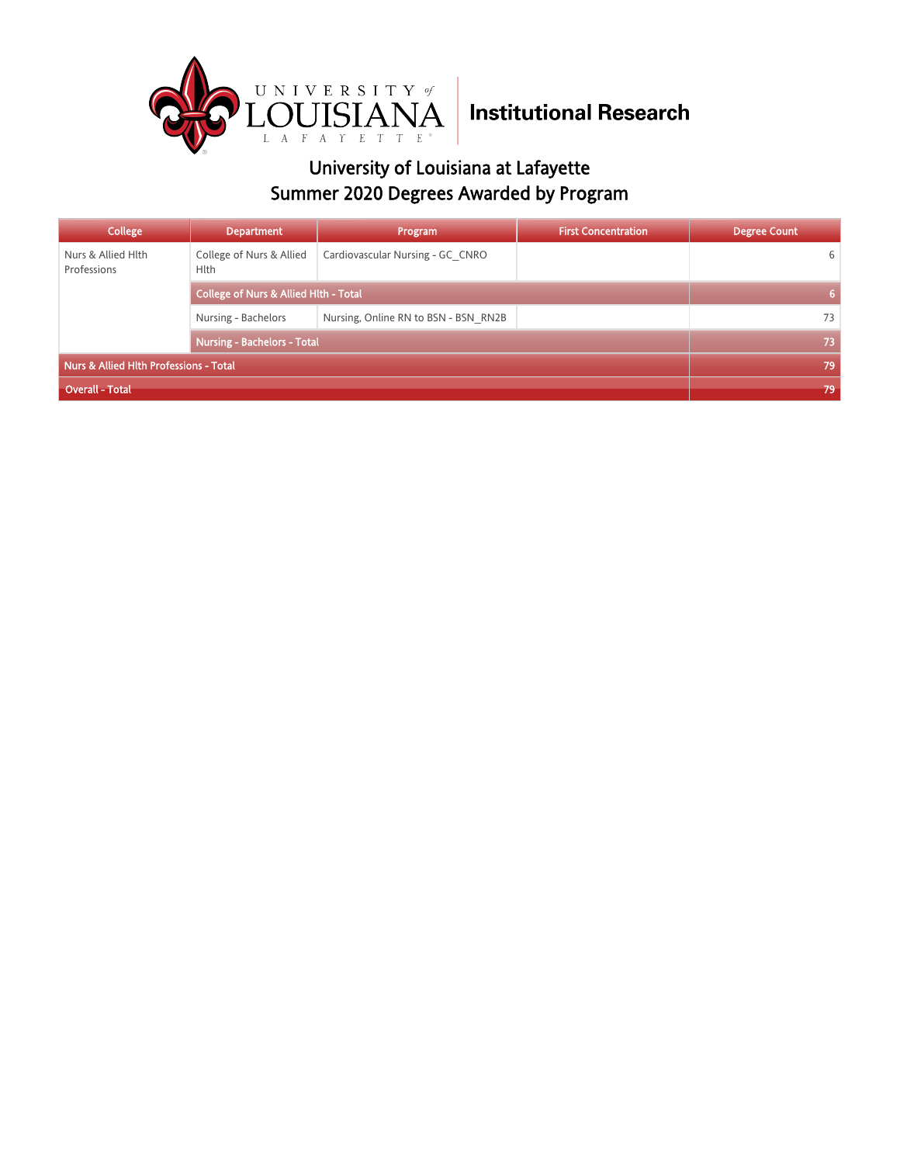

| <b>College</b>                         | <b>Department</b>                                | Program                              | <b>First Concentration</b> | <b>Degree Count</b> |
|----------------------------------------|--------------------------------------------------|--------------------------------------|----------------------------|---------------------|
| Nurs & Allied Hlth<br>Professions      | College of Nurs & Allied<br><b>Hlth</b>          | Cardiovascular Nursing - GC CNRO     |                            | 6                   |
|                                        | <b>College of Nurs &amp; Allied Hith - Total</b> |                                      |                            | GΤ                  |
|                                        | Nursing - Bachelors                              | Nursing, Online RN to BSN - BSN RN2B |                            | 73                  |
|                                        | Nursing - Bachelors - Total                      |                                      |                            | 73                  |
| Nurs & Allied Hith Professions - Total |                                                  |                                      | 79                         |                     |
| Overall - Total                        |                                                  |                                      | 79                         |                     |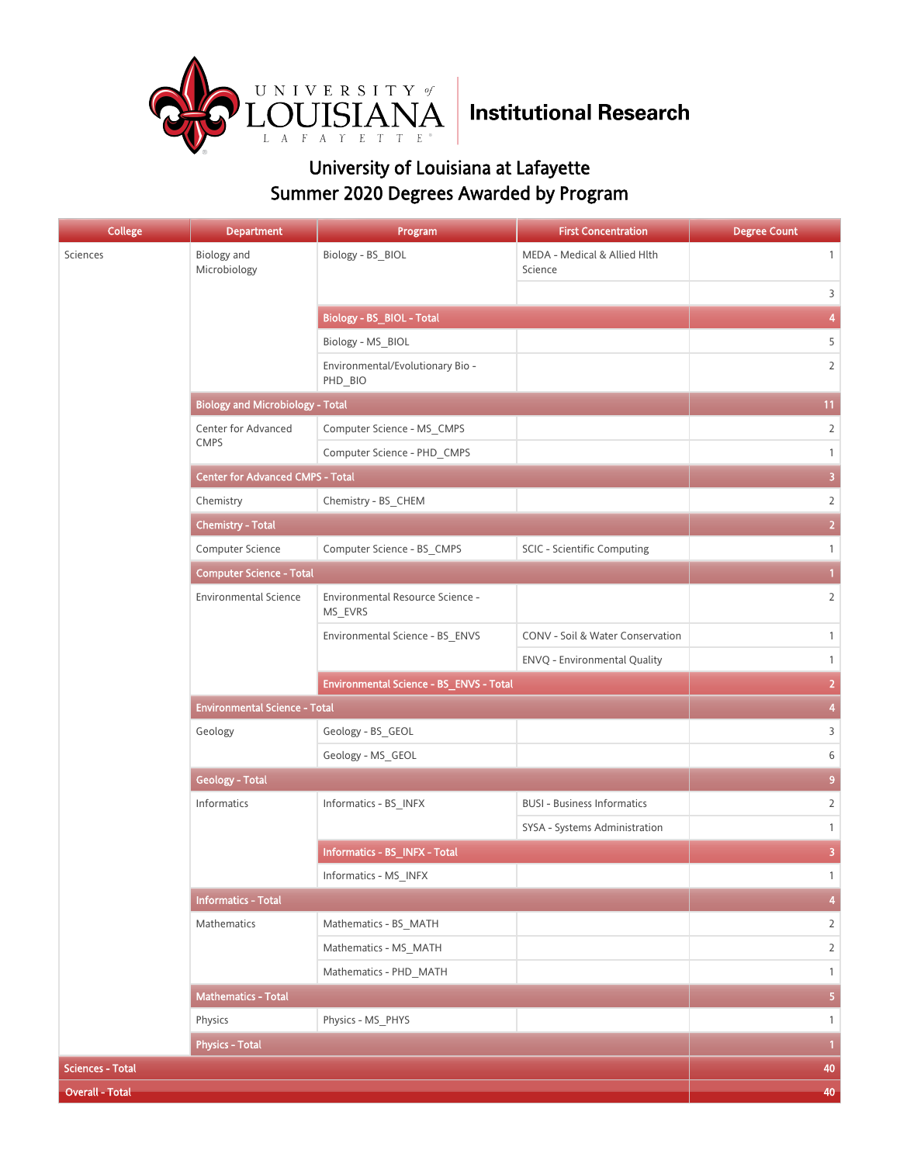

| <b>College</b>          | <b>Department</b>                       | Program                                     | <b>First Concentration</b>              | <b>Degree Count</b>     |
|-------------------------|-----------------------------------------|---------------------------------------------|-----------------------------------------|-------------------------|
| Sciences                | <b>Biology</b> and<br>Microbiology      | Biology - BS_BIOL                           | MEDA - Medical & Allied Hlth<br>Science | $\mathbf{1}$            |
|                         |                                         |                                             |                                         | 3                       |
|                         |                                         | Biology - BS_BIOL - Total                   |                                         | 4                       |
|                         |                                         | Biology - MS_BIOL                           |                                         | 5                       |
|                         |                                         | Environmental/Evolutionary Bio -<br>PHD_BIO |                                         | $\overline{2}$          |
|                         | <b>Biology and Microbiology - Total</b> |                                             |                                         | 11                      |
|                         | Center for Advanced                     | Computer Science - MS_CMPS                  |                                         | $\overline{2}$          |
|                         | <b>CMPS</b>                             | Computer Science - PHD_CMPS                 |                                         | $\mathbf{1}$            |
|                         | <b>Center for Advanced CMPS - Total</b> |                                             |                                         | $\overline{\mathbf{3}}$ |
|                         | Chemistry                               | Chemistry - BS_CHEM                         |                                         | $\overline{2}$          |
|                         | <b>Chemistry - Total</b>                |                                             |                                         | $\overline{2}$          |
|                         | Computer Science                        | Computer Science - BS_CMPS                  | <b>SCIC - Scientific Computing</b>      | $\mathbf{1}$            |
|                         | <b>Computer Science - Total</b>         |                                             |                                         | $\mathbf{1}$            |
|                         | <b>Environmental Science</b>            | Environmental Resource Science -<br>MS_EVRS |                                         | $\overline{2}$          |
|                         |                                         | Environmental Science - BS_ENVS             | CONV - Soil & Water Conservation        | $\mathbf{1}$            |
|                         |                                         |                                             | ENVQ - Environmental Quality            | $\mathbf{1}$            |
|                         |                                         | Environmental Science - BS_ENVS - Total     |                                         | $\overline{2}$          |
|                         | <b>Environmental Science - Total</b>    |                                             |                                         | $\overline{\mathbf{4}}$ |
|                         | Geology                                 | Geology - BS_GEOL                           |                                         | 3                       |
|                         |                                         | Geology - MS_GEOL                           |                                         | 6                       |
|                         | <b>Geology - Total</b>                  |                                             |                                         | $\overline{9}$          |
|                         | Informatics                             | Informatics - BS_INFX                       | <b>BUSI - Business Informatics</b>      | $\overline{2}$          |
|                         |                                         |                                             | SYSA - Systems Administration           | $\mathbf{1}$            |
|                         |                                         | Informatics - BS_INFX - Total               |                                         | $\overline{\mathbf{3}}$ |
|                         |                                         | Informatics - MS INFX                       |                                         | $\mathbf{1}$            |
|                         | <b>Informatics - Total</b>              |                                             |                                         | $\overline{\mathbf{4}}$ |
|                         | Mathematics                             | Mathematics - BS MATH                       |                                         | $\overline{2}$          |
|                         |                                         | Mathematics - MS_MATH                       |                                         | $\overline{2}$          |
|                         |                                         | Mathematics - PHD_MATH                      |                                         | $\mathbf{1}$            |
|                         | <b>Mathematics - Total</b>              |                                             |                                         | 5 <sub>1</sub>          |
|                         | Physics                                 | Physics - MS_PHYS                           |                                         | $\mathbf{1}$            |
|                         | <b>Physics - Total</b>                  |                                             |                                         | $\mathbf{1}$            |
| <b>Sciences - Total</b> | 40                                      |                                             |                                         |                         |
| <b>Overall - Total</b>  | 40                                      |                                             |                                         |                         |